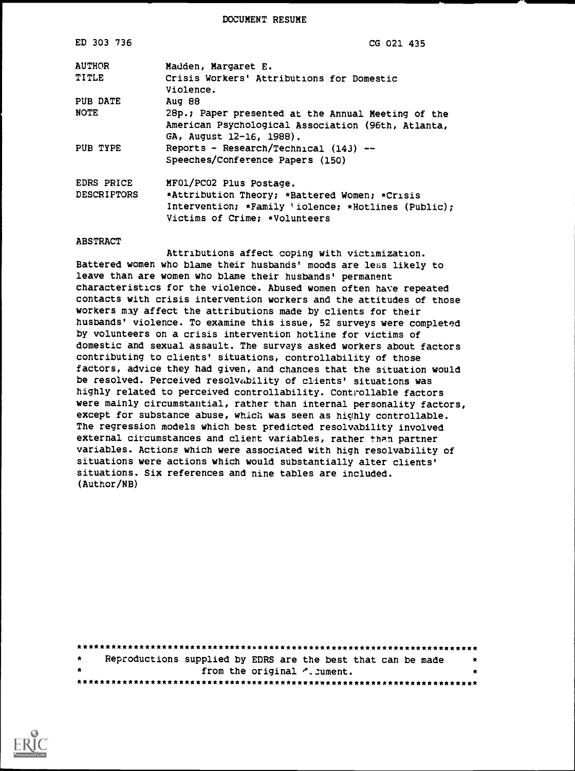DOCUMENT RESUME

| CG 021 435                                                                                                                                                       |
|------------------------------------------------------------------------------------------------------------------------------------------------------------------|
| Madden, Margaret E.                                                                                                                                              |
| Crisis Workers' Attributions for Domestic<br>Violence.                                                                                                           |
| Aug 88                                                                                                                                                           |
| 28p.; Paper presented at the Annual Meeting of the<br>American Psychological Association (96th, Atlanta,<br>GA, August 12-16, 1988).                             |
| Reports - Research/Technical $(143)$ --<br>Speeches/Conference Papers (150)                                                                                      |
| MF01/PC02 Plus Postage.<br>*Attribution Theory; *Battered Women; *Crisis<br>Intervention; *Family 'iolence; *Hotlines (Public):<br>Victims of Crime: *Volunteers |
|                                                                                                                                                                  |

#### ABSTRACT

Attributions affect coping with victimization. Battered women who blame their husbands' moods are less likely to leave than are women who blame their husbands' permanent characteristics for the violence. Abused women often have repeated contacts with crisis intervention workers and the attitudes of those workers may affect the attributions made by clients for their husbands' violence. To examine this issue, 52 surveys were completed by volunteers on a crisis intervention hotline for victims of domestic and sexual assault. The surveys asked workers about factors contributing to clients' situations, controllability of those factors, advice they had given, and chances that the situation would be resolved. Perceived resolvability of clients' situations was highly related to perceived controllability. Controllable factors were mainly circumstantial, rather than internal personality factors, except for substance abuse, which was seen as highly controllable. The regression models which best predicted resolvability involved external circumstances and client variables, rather than partner variables. Actions which were associated with high resolvability of situations were actions which would substantially alter clients' situations. Six references and nine tables are included. (Author/NB)

| $\star$ | Reproductions supplied by EDRS are the best that can be made |  |  | 大 |  |
|---------|--------------------------------------------------------------|--|--|---|--|
| $\star$ | from the original ". Jument.                                 |  |  |   |  |
|         |                                                              |  |  |   |  |

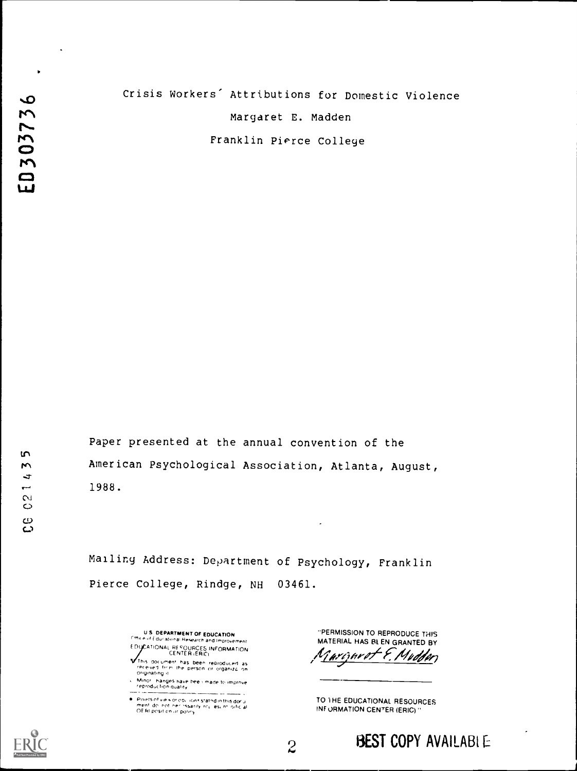| Crisis Workers' Attributions for Domestic Violence |  |
|----------------------------------------------------|--|
| Margaret E. Madden                                 |  |
| Franklin Pierce College                            |  |

Paper presented at the annual convention of the American Psychological Association, Atlanta, August, 1988.

Mailing Address: Department of Psychology, Franklin Pierce College, Rindge, NH 03461.

> U.S. DEPARTMENT OF EDUCATION<br><sup>Citt</sup>ice of Educational Research and Improvement EDUCATIONAL RESOURCES INFORMATION

This document has been reproduced as<br>received from the person or organiza on<br>Originating it

Minor , hanges have bee i made to imprnye.<br>reproduction quality - - -<del>---</del> -

Points of vie 4 or 00, Jons stated in this donu<br>ment, do, not, ner, sssarily, rey, lesc nt, oific al<br>OE RI posit on ur poliny

"PERMISSION TO REPRODUCE THIS MATERIAL. HAS BL EN GRANTED BY arûnvet E. Mudden

TO 1 HE EDUCATIONAL RESOURCES INFORMATION CENTER (ERIC)"



 $\bullet$ 

ED303736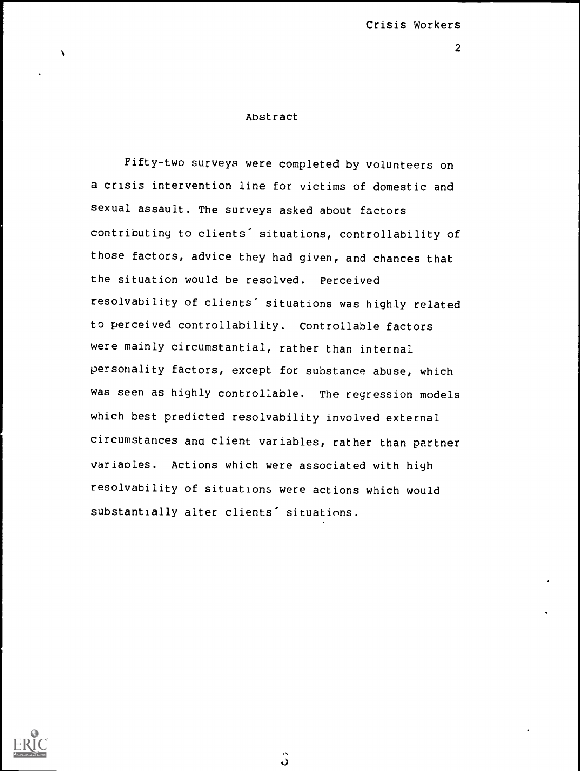### Abstract

Fifty-two surveys were completed by volunteers on a crisis intervention line for victims of domestic and sexual assault. The surveys asked about factors contributing to clients' situations, controllability of those factors, advice they had given, and chances that the situation would be resolved. Perceived resolvability of clients' situations was highly related to perceived controllability. Controllable factors were mainly circumstantial, rather than internal personality factors, except for substance abuse, which was seen as highly controllable. The regression models which best predicted resolvability involved external circumstances and client variables, rather than partner variables. Actions which were associated with high resolvability of situations were actions which would substantially alter clients' situations.



ပါ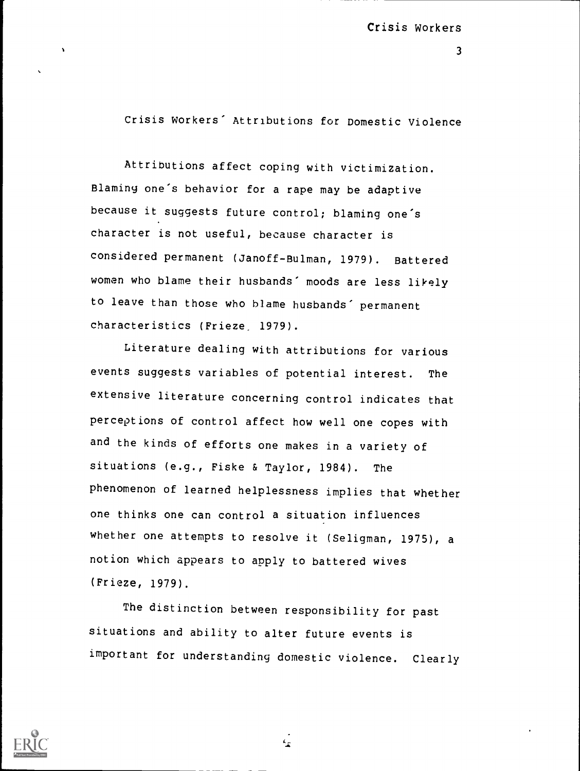$\overline{3}$ 

Crisis Workers' Attributions for Domestic Violence

Attributions affect coping with victimization. Blaming one's behavior for a rape may be adaptive because it suggests future control; blaming one's character is not useful, because character is considered permanent (Janoff-Bulman, 1979). Battered women who blame their husbands' moods are less likely to leave than those who blame husbands' permanent characteristics (Frieze. 1979).

Literature dealing with attributions for various events suggests variables of potential interest. The extensive literature concerning control indicates that perceptions of control affect how well one copes with and the kinds of efforts one makes in a variety of situations (e.g., Fiske & Taylor, 1984). The phenomenon of learned helplessness implies that whether one thinks one can control a situation influences whether one attempts to resolve it (Seligman, 1975), a notion which appears to apply to battered wives (Frieze, 1979).

The distinction between responsibility for past situations and ability to alter future events is important for understanding domestic violence. Clearly

 $\mathbf{r}$ 

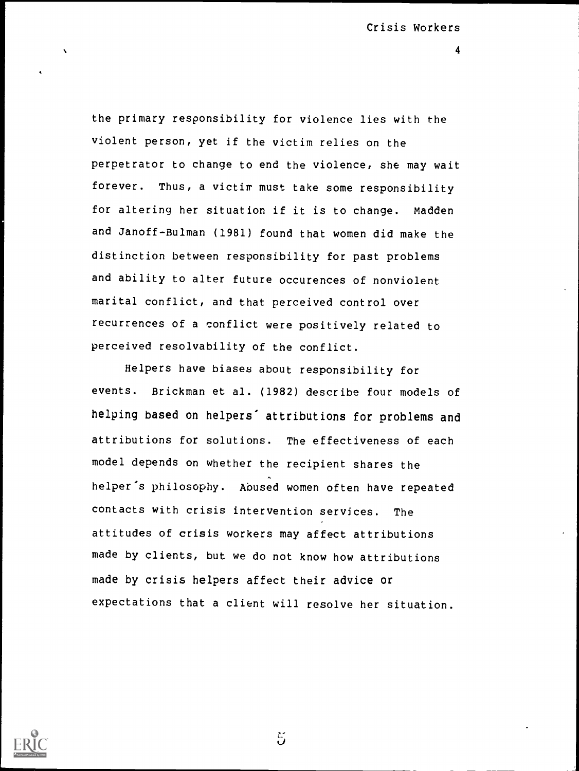4

the primary responsibility for violence lies with the violent person, yet if the victim relies on the perpetrator to change to end the violence, she may wait forever. Thus, a victim must take some responsibility for altering her situation if it is to change. Madden and Janoff-Bulman (1981) found that women did make the distinction between responsibility for past problems and ability to alter future occurences of nonviolent marital conflict, and that perceived control over recurrences of a conflict were positively related to perceived resolvability of the conflict.

Helpers have biases about responsibility for events. Brickman et al. (1982) describe four models of helping based on helpers' attributions for problems and attributions for solutions. The effectiveness of each model depends on whether the recipient shares the helper's philosophy. Abused women often have repeated contacts with crisis intervention services. The attitudes of crisis workers may affect attributions made by clients, but we do not know how attributions made by crisis helpers affect their advice or expectations that a client will resolve her situation.



 $\ddot{5}$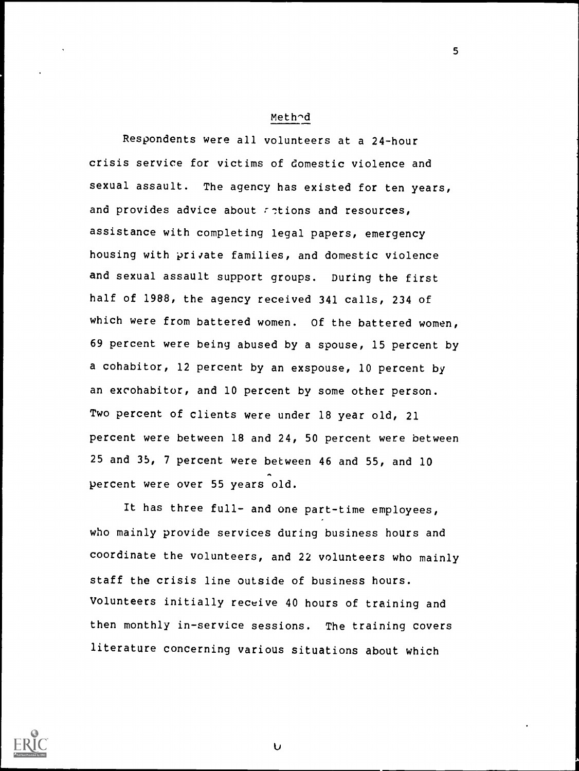#### Meth^d

5

Respondents were all volunteers at a 24-hour crisis service for victims of domestic violence and sexual assault. The agency has existed for ten years, and provides advice about  $\tau$ -tions and resources, assistance with completing legal papers, emergency housing with private families, and domestic violence and sexual assault support groups. During the first half of 1988, the agency received 341 calls, 234 of which were from battered women. Of the battered women, 69 percent were being abused by a spouse, 15 percent by a cohabitor, 12 percent by an exspouse, 10 percent by an excohabitor, and 10 percent by some other person. Two percent of clients were under 18 year old, 21 percent were between 18 and 24, 50 percent were between 25 and 35, 7 percent were between 46 and 55, and 10 percent were over 55 years old.

It has three full- and one part-time employees, who mainly provide services during business hours and coordinate the volunteers, and 22 volunteers who mainly staff the crisis line outside of business hours. Volunteers initially receive 40 hours of training and then monthly in-service sessions. The training covers literature concerning various situations about which



U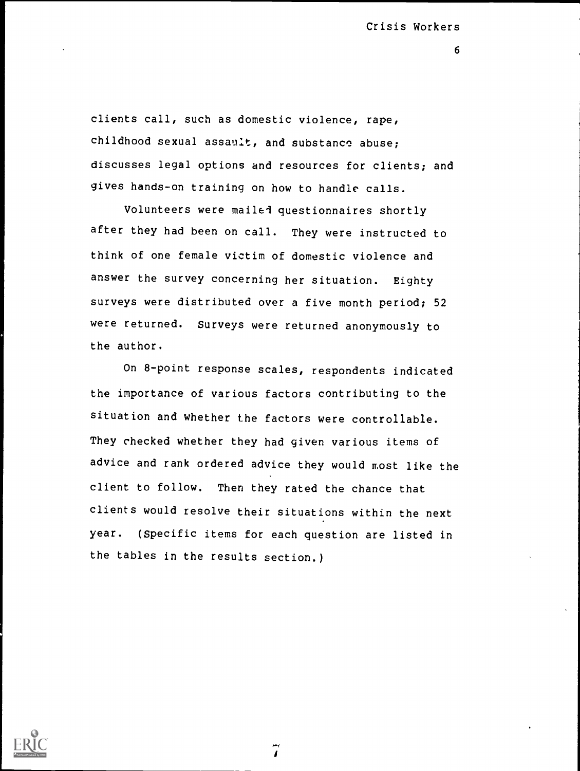6

clients call, such as domestic violence, rape, childhood sexual assault, and substance abuse; discusses legal options and resources for clients; and gives hands-on training on how to handle calls.

Volunteers were mailed questionnaires shortly after they had been on call. They were instructed to think of one female victim of domestic violence and answer the survey concerning her situation. Eighty surveys were distributed over a five month period; 52 were returned. Surveys were returned anonymously to the author.

On 8-point response scales, respondents indicated the importance of various factors contributing to the situation and whether the factors were controllable. They checked whether they had given various items of advice and rank ordered advice they would most like the client to follow. Then they rated the chance that clients would resolve their situations within the next year. (Specific items for each question are listed in the tables in the results section.)

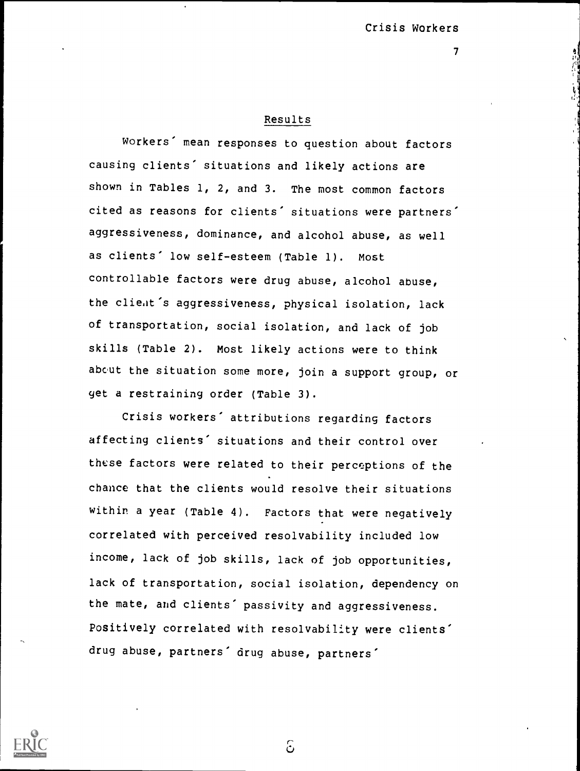## Results

Workers' mean responses to question about factors causing clients' situations and likely actions are shown in Tables 1, 2, and 3. The most common factors cited as reasons for clients' situations were partners' aggressiveness, dominance, and alcohol abuse, as well as clients' low self-esteem (Table 1). Most controllable factors were drug abuse, alcohol abuse, the client's aggressiveness, physical isolation, lack of transportation, social isolation, and lack of job skills (Table 2). Most likely actions were to think about the situation some more, join a support group, or get a restraining order (Table 3).

Crisis workers' attributions regarding factors affecting clients' situations and their control over these factors were related to their perceptions of the chance that the clients would resolve their situations within a year (Table 4). Factors that were negatively correlated with perceived resolvability included low income, lack of job skills, lack of job opportunities, lack of transportation, social isolation, dependency on the mate, and clients' passivity and aggressiveness. Positively correlated with resolvability were clients' drug abuse, partners' drug abuse, partners'



 $\mathcal{E}$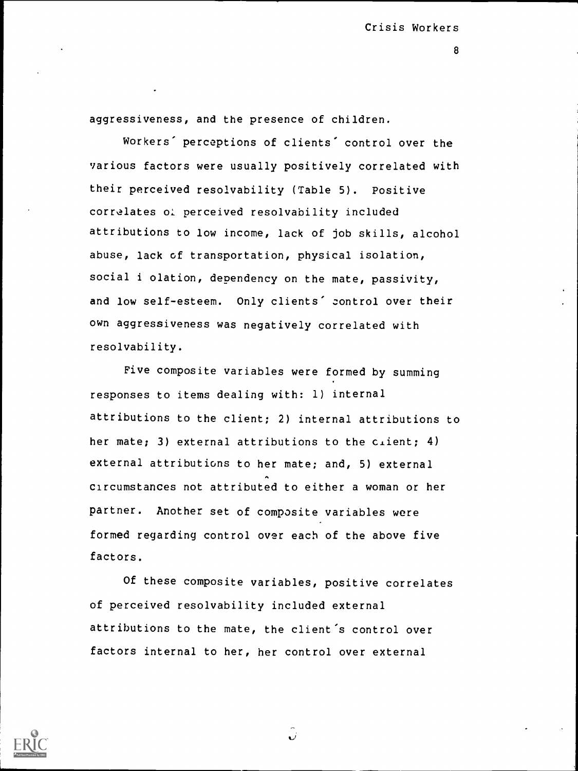8

aggressiveness, and the presence of children.

Workers' perceptions of clients' control over the various factors were usually positively correlated with their perceived resolvability (Table 5). Positive correlates o: perceived resolvability included attributions to low income, lack of job skills, alcohol abuse, lack of transportation, physical isolation, social i olation, dependency on the mate, passivity, and low self-esteem. Only clients' control over their own aggressiveness was negatively correlated with resolvability.

Five composite variables were formed by summing responses to items dealing with: 1) internal attributions to the client; 2) internal attributions to her mate; 3) external attributions to the citent; 4) external attributions to her mate; and, 5) external circumstances not attributed to either a woman or her partner. Another set of composite variables were formed regarding control over each of the above five factors.

Of these composite variables, positive correlates of perceived resolvability included external attributions to the mate, the client's control over factors internal to her, her control over external



ن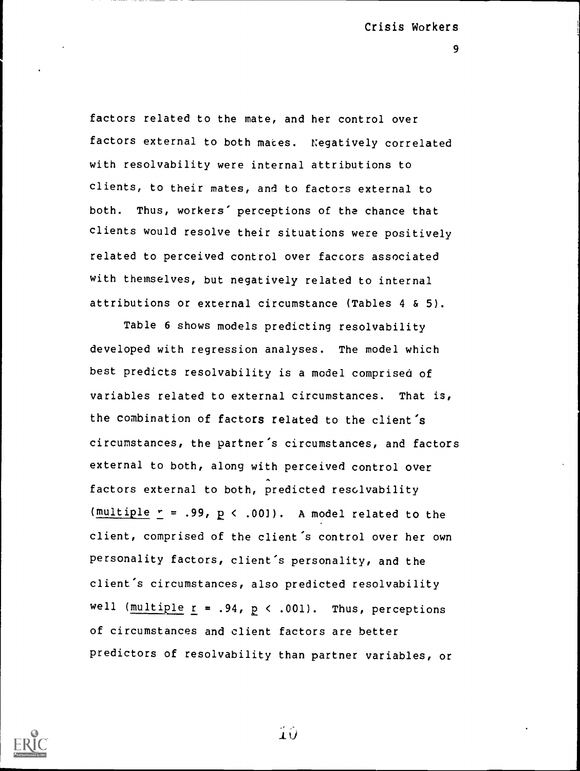9

factors related to the mate, and her control over factors external to both maces. Negatively correlated with resolvability were internal attributions to clients, to their mates, and to factors external to both. Thus, workers' perceptions of the chance that clients would resolve their situations were positively related to perceived control over factors associated with themselves, but negatively related to internal attributions or external circumstance (Tables 4 & 5).

Table 6 shows models predicting resolvability developed with regression analyses. The model which best predicts resolvability is a model comprised of variables related to external circumstances. That is, the combination of factors related to the client's circumstances, the partner's circumstances, and factors external to both, along with perceived control over factors external to both, predicted resolvability (multiple  $r = .99$ ,  $p < .001$ ). A model related to the client, comprised of the client's control over her own personality factors, client's personality, and the client's circumstances, also predicted resolvability well (multiple  $r = .94$ ,  $p \le .001$ ). Thus, perceptions of circumstances and client factors are better predictors of resolvability than partner variables, or



 $10$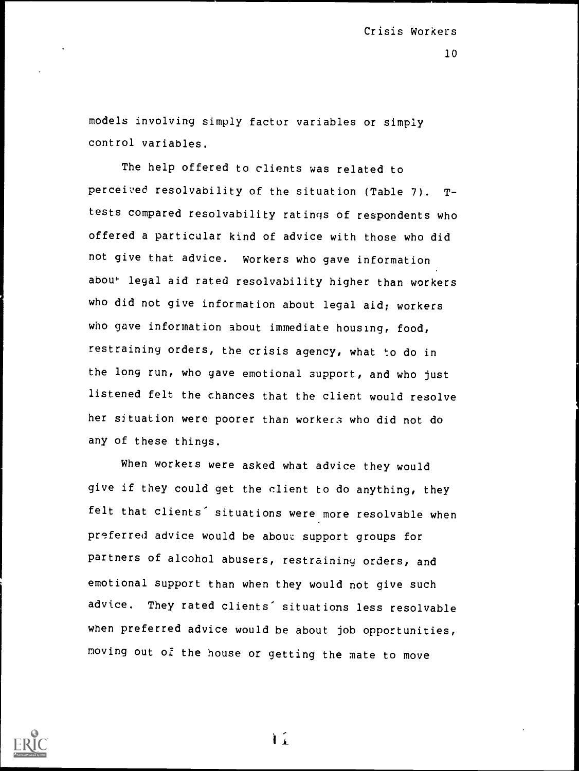models involving simply factor variables or simply control variables.

The help offered to clients was related to perceived resolvability of the situation (Table 7). Ttests compared resolvability ratings of respondents who offered a particular kind of advice with those who did not give that advice. workers who gave information abou<sup>+</sup> legal aid rated resolvability higher than workers who did not give information about legal aid; workers who gave information about immediate housing, food, restraininy orders, the crisis agency, what to do in the long run, who gave emotional support, and who just listened felt the chances that the client would resolve her situation were poorer than workers who did not do any of these things.

When workers were asked what advice they would give if they could get the client to do anything, they felt that clients' situations were more resolvable when preferred advice would be about support groups for partners of alcohol abusers, restraining orders, and emotional support than when they would not give such advice. They rated clients' situations less resolvable when preferred advice would be about job opportunities, moving out of the house or getting the mate to move



 $\mathbf{L}^2$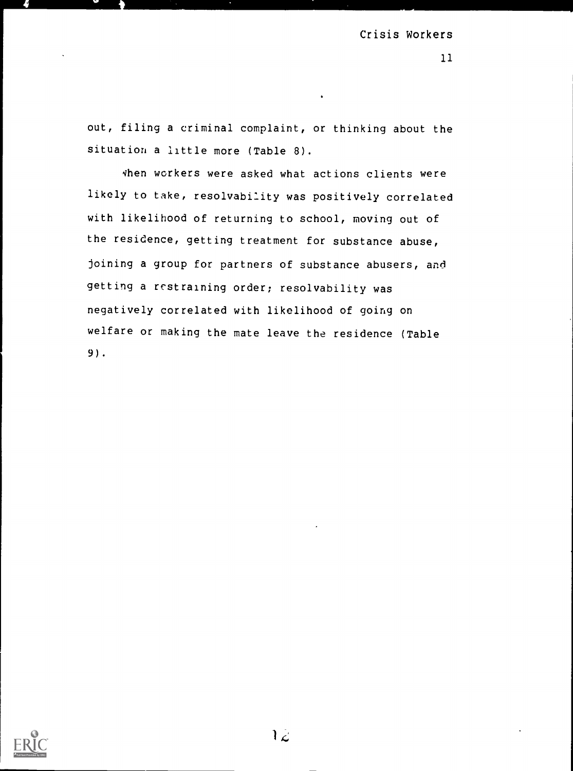11

out, filing a criminal complaint, or thinking about the situation a little more (Table 8).

vhen workers were asked what actions clients were likely to take, resolvability was positively correlated with likelihood of returning to school, moving out of the residence, getting treatment for substance abuse, joining a group for partners of substance abusers, and getting a restraining order; resolvability was negatively correlated with likelihood of going on welfare or making the mate leave the residence (Table 9).

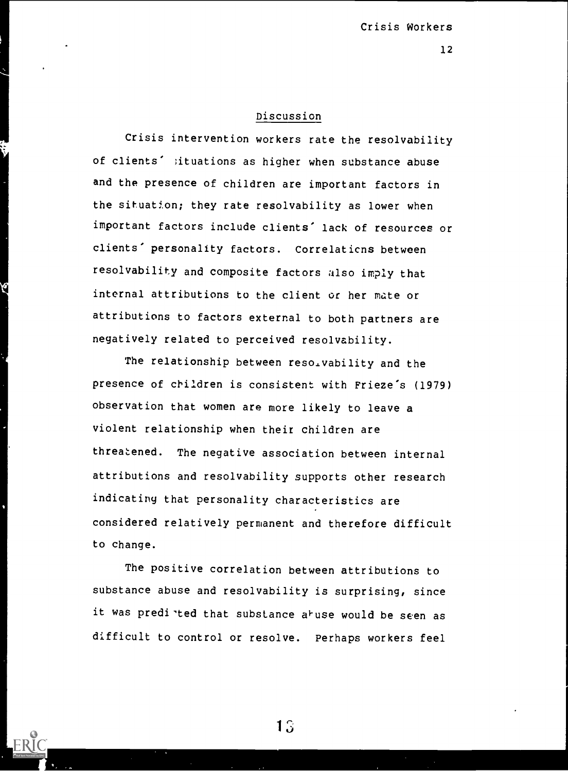## Discussion

Crisis intervention workers rate the resolvability of clients' situations as higher when substance abuse and the presence of children are important factors in the situation; they rate resolvability as lower when important factors include clients' lack of resources or clients' personality factors. Correlaticns between resolvability and composite factors also imply that internal attributions to the client or her mate or attributions to factors external to both partners are negatively related to perceived resolvability.

The relationship between reso.vability and the presence of children is consistent with Frieze's (1979) observation that women are more likely to leave a violent relationship when their children are threatened. The negative association between internal attributions and resolvability supports other research indicating that personality characteristics are considered relatively permanent and therefore difficult to change.

The positive correlation between attributions to substance abuse and resolvability is surprising, since it was predi ted that substance a<sup>l</sup>use would be seen as difficult to control or resolve. Perhaps workers feel

13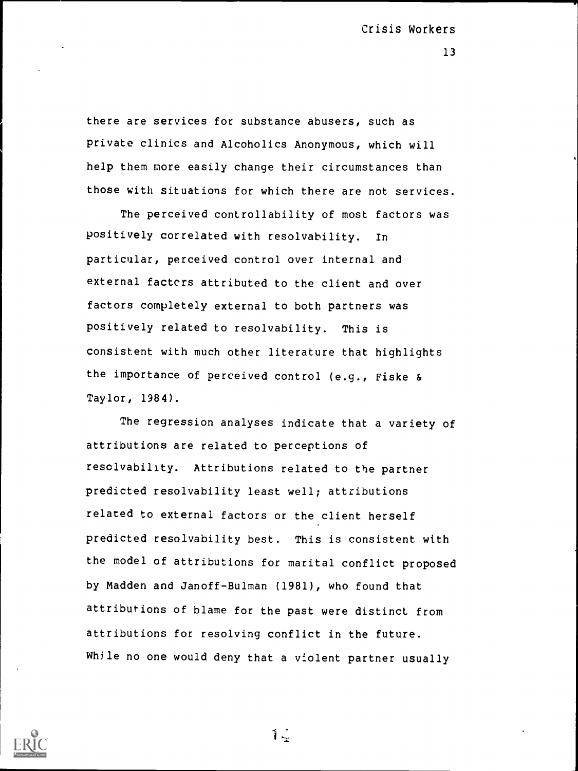there are services for substance abusers, such as private clinics and Alcoholics Anonymous, which will help them more easily change their circumstances than those with situations for which there are not services.

The perceived controllability of most factors was positively correlated with resolvability. In particular, perceived control over internal and external factors attributed to the client and over factors completely external to both partners was positively related to resolvability. This is consistent with much other literature that highlights the importance of perceived control (e.g., Fiske & Taylor, 1984).

The regression analyses indicate that a variety of attributions are related to perceptions of resolvability. Attributions related to the partner predicted resolvability least well; attributions related to external factors or the client herself predicted resolvability best. This is consistent with the model of attributions for marital conflict proposed by Madden and Janoff-Bulman (1981), who found that attributions of blame for the past were distinct from attributions for resolving conflict in the future. While no one would deny that a violent partner usually



 $\mathbf{1}_{\mathbf{2}}$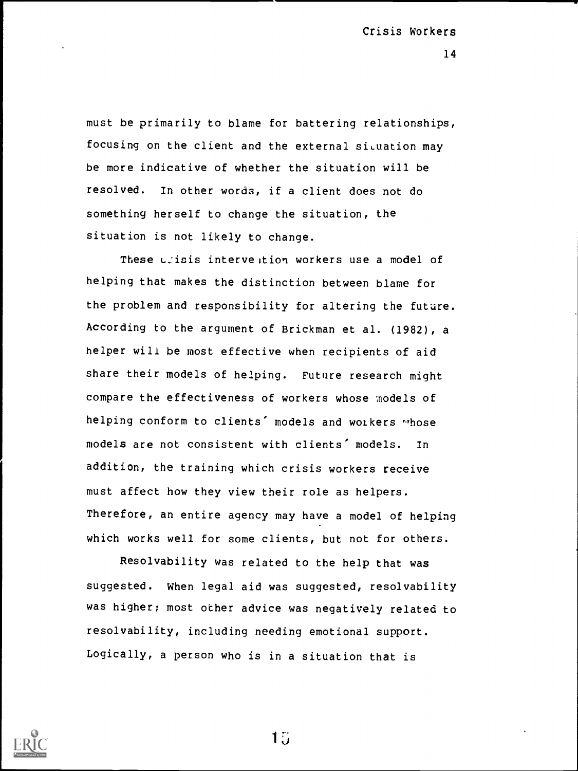must be primarily to blame for battering relationships, focusing on the client and the external situation may be more indicative of whether the situation will be resolved. In other words, if a client does not do something herself to change the situation, the situation is not likely to change.

These crisis intervention workers use a model of helping that makes the distinction between blame for the problem and responsibility for altering the future. According to the argument of Brickman et al. (1982), a helper will be most effective when recipients of aid share their models of helping. Future research might compare the effectiveness of workers whose models of helping conform to clients' models and workers "hose models are not consistent with clients' models. In addition, the training which crisis workers receive must affect how they view their role as helpers. Therefore, an entire agency may have a model of helping which works well for some clients, but not for others.

Resolvability was related to the help that was suggested. When legal aid was suggested, resolvability was higher; most ocher advice was negatively related to resolvability, including needing emotional support. Logically, a person who is in a situation that is



15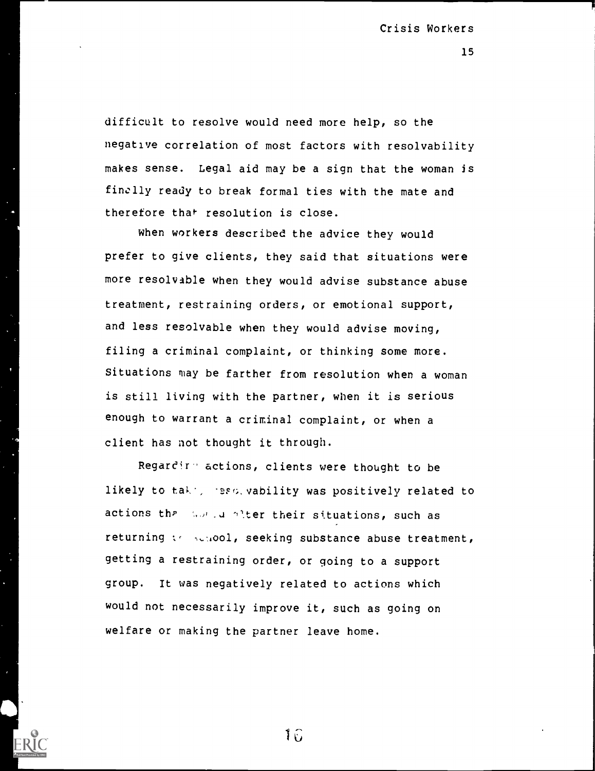difficult to resolve would need more help, so the negative correlation of most factors with resolvability makes sense. Legal aid may be a sign that the woman is finally ready to break formal ties with the mate and therefore that resolution is close.

When workers described the advice they would prefer to give clients, they said that situations were more resolvable when they would advise substance abuse treatment, restraining orders, or emotional support, and less resolvable when they would advise moving, filing a criminal complaint, or thinking some more. Situations may be farther from resolution when a woman is still living with the partner, when it is serious enough to warrant a criminal complaint, or when a client has not thought it through.

Regardir- actions, clients were thought to be likely to take, reso, vability was positively related to actions that was identified their situations, such as returning  $\{e_1, \ldots, e_n\}$  seeking substance abuse treatment, getting a restraining order, or going to a support group. It was negatively related to actions which would not necessarily improve it, such as going on welfare or making the partner leave home.

16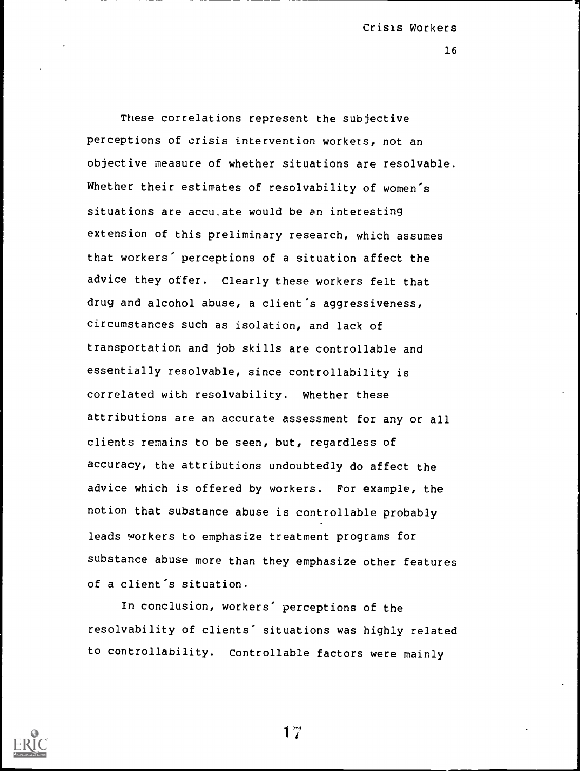16

These correlations represent the subjective perceptions of crisis intervention workers, not an objective measure of whether situations are resolvable. Whether their estimates of resolvability of women's situations are acculate would be an interesting extension of this preliminary research, which assumes that workers' perceptions of a situation affect the advice they offer. Clearly these workers felt that drug and alcohol abuse, a client's aggressiveness, circumstances such as isolation, and lack of transportation and job skills are controllable and essentially resolvable, since controllability is correlated with resolvability. Whether these attributions are an accurate assessment for any or all clients remains to be seen, but, regardless of accuracy, the attributions undoubtedly do affect the advice which is offered by workers. For example, the notion that substance abuse is controllable probably leads workers to emphasize treatment programs for substance abuse more than they emphasize other features of a client's situation.

In conclusion, workers' perceptions of the resolvability of clients' situations was highly related to controllability. Controllable factors were mainly



1  $\ddot{ }$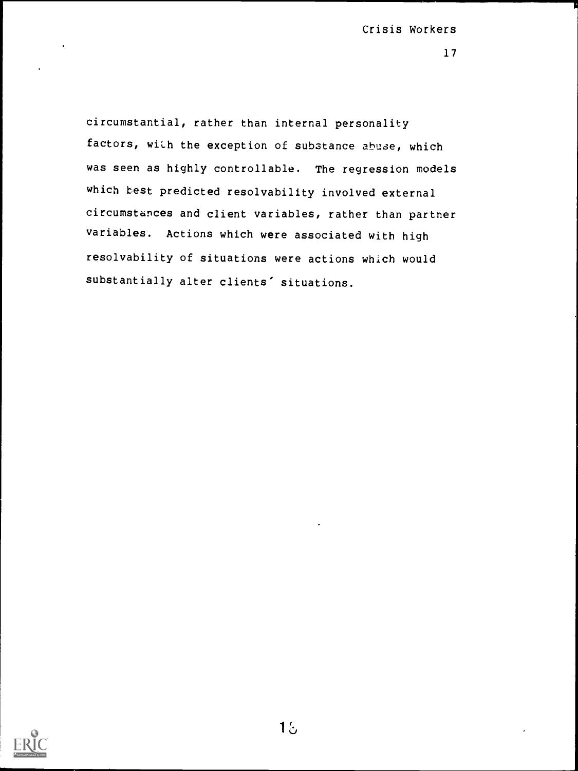circumstantial, rather than internal personality factors, with the exception of substance abuse, which was seen as highly controllable. The regression models which best predicted resolvability involved external circumstances and client variables, rather than partner variables. Actions which were associated with high resolvability of situations were actions which would substantially alter clients' situations.

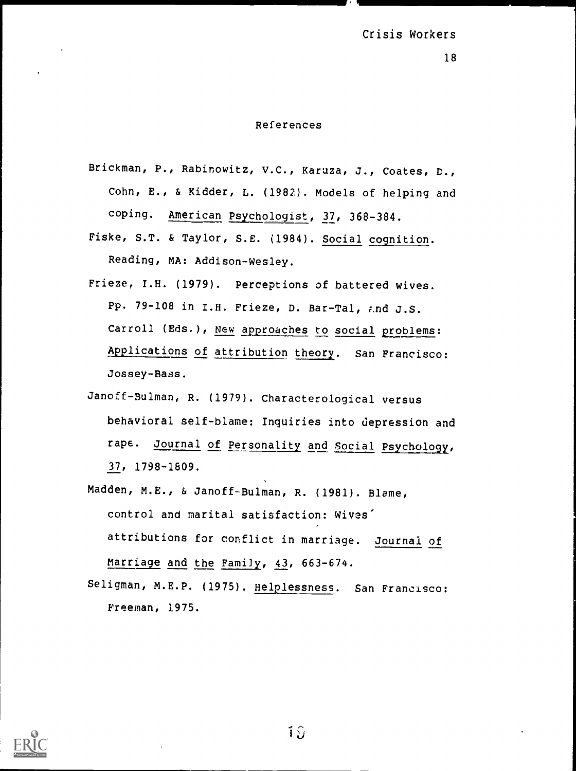### References

- Brickman, P., Rabinowitz, v.C., Karuza, J., Coates, D., Cohn, E., & Kidder, L. (1982). Models of helping and coping. American Psychologist, 37, 368-384.
- Fiske, S.T. & Taylor, S.E. (1984). Social cognition. Reading, MA: Addison-Wesley.
- Frieze, I.B. (1979). Perceptions of battered wives. Pp. 79-108 in I.H. Frieze, D. Bar-Tal, ;.nd J.S. Carroll (Eds.), New approaches to social problems: Applications of attribution theory. San Francisco: Jossey-Bass.
- Janoff Bulman, R. (1979). Characterological versus behavioral self-blame: Inquiries into depression and rape. Journal of Personality and Social Psychology, 37, 1798 -1809.
- Madden, M.E., & Janoff-Bulman, R. (1981). Blame, control and marital satisfaction: Wives' attributions for conflict in marriage. Journal of Marriage and the Family, 43, 663-674.
- Seligman, M.E.P. (1975). Helplessness. San Francisco: Freeman, 1975.



19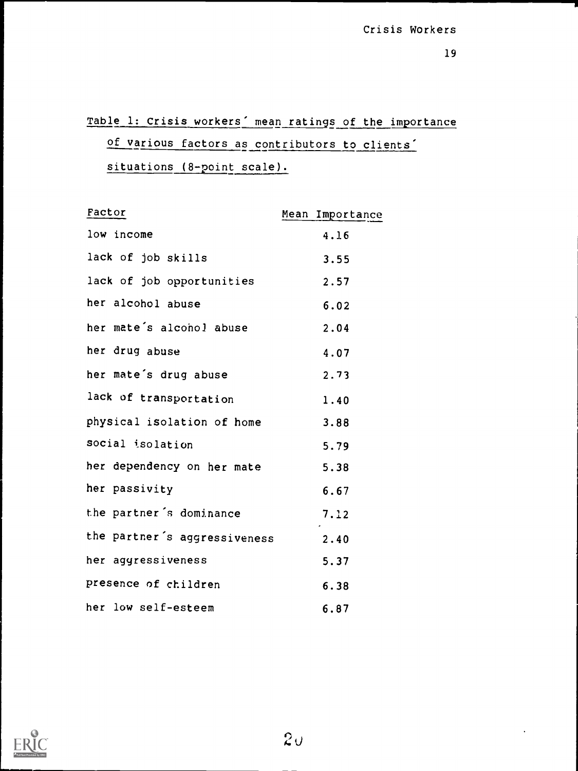# Table 1: Crisis workers' mean ratings of the importance of various factors as contributors to clients' situations (8-point scale).

| Factor                       | Mean Importance |
|------------------------------|-----------------|
| low income                   | 4.16            |
| lack of job skills           | 3.55            |
| lack of job opportunities    | 2.57            |
| her alcohol abuse            | 6.02            |
| her mate's alconol abuse     | 2.04            |
| her drug abuse               | 4.07            |
| her mate's drug abuse        | 2.73            |
| lack of transportation       | 1.40            |
| physical isolation of home   | 3.88            |
| social isolation             | 5.79            |
| her dependency on her mate   | 5.38            |
| her passivity                | 6.67            |
| the partner's dominance      | 7.12            |
| the partner's aggressiveness | 2.40            |
| her aggressiveness           | 5.37            |
| presence of children         | 6.38            |
| her low self-esteem          | 6.87            |

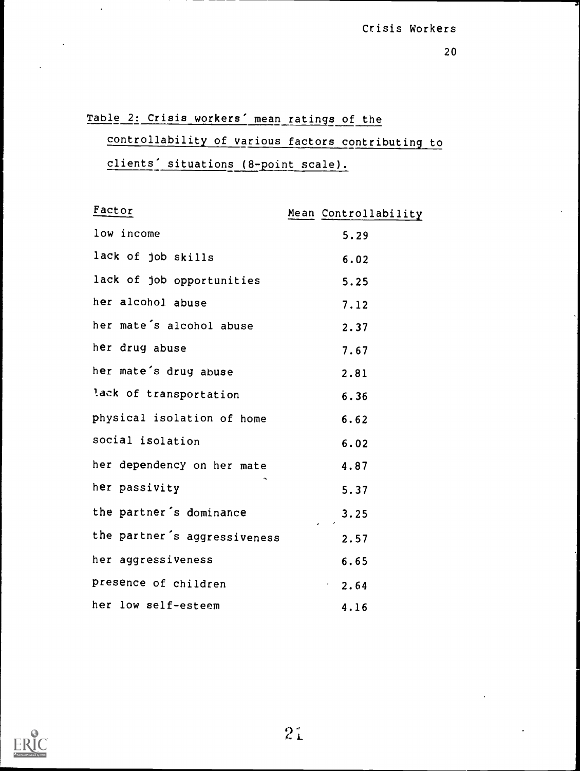Table 2: Crisis workers' mean ratings of the controllability of various factors contributing to clients' situations (8-point scale).

| Factor                       | Mean Controllability     |
|------------------------------|--------------------------|
| low income                   | 5.29                     |
| lack of job skills           | 6.02                     |
| lack of job opportunities    | 5.25                     |
| her alcohol abuse            | 7.12                     |
| her mate's alcohol abuse     | 2.37                     |
| her drug abuse               | 7.67                     |
| her mate's drug abuse        | 2.81                     |
| lack of transportation       | 6.36                     |
| physical isolation of home   | 6.62                     |
| social isolation             | 6.02                     |
| her dependency on her mate   | 4.87                     |
| her passivity                | 5.37                     |
| the partner's dominance      | 3.25                     |
| the partner's aggressiveness | 2.57                     |
| her aggressiveness           | 6.65                     |
| presence of children         | $\mathbf{r} = -$<br>2.64 |
| her low self-esteem          | 4.16                     |

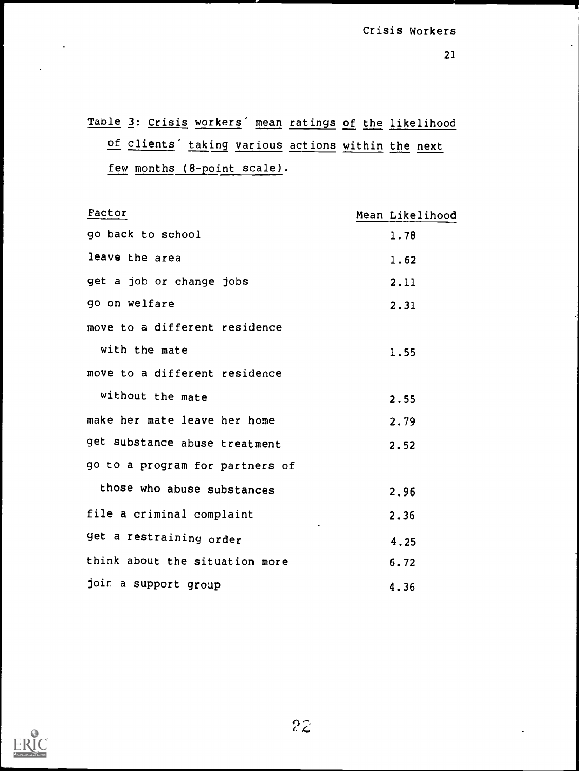Table 3: Crisis workers' mean ratings of the likelihood of clients' taking various actions within the next few months (8-point scale).

| Factor                          | Mean Likelihood |
|---------------------------------|-----------------|
| go back to school               | 1.78            |
| leave the area                  | 1.62            |
| get a job or change jobs        | 2.11            |
| go on welfare                   | 2.31            |
| move to a different residence   |                 |
| with the mate                   | 1.55            |
| move to a different residence   |                 |
| without the mate                | 2.55            |
| make her mate leave her home    | 2.79            |
| get substance abuse treatment   | 2.52            |
| go to a program for partners of |                 |
| those who abuse substances      | 2.96            |
| file a criminal complaint       | 2.36            |
| get a restraining order         | 4.25            |
| think about the situation more  | 6.72            |
| joir a support group            | 4.36            |

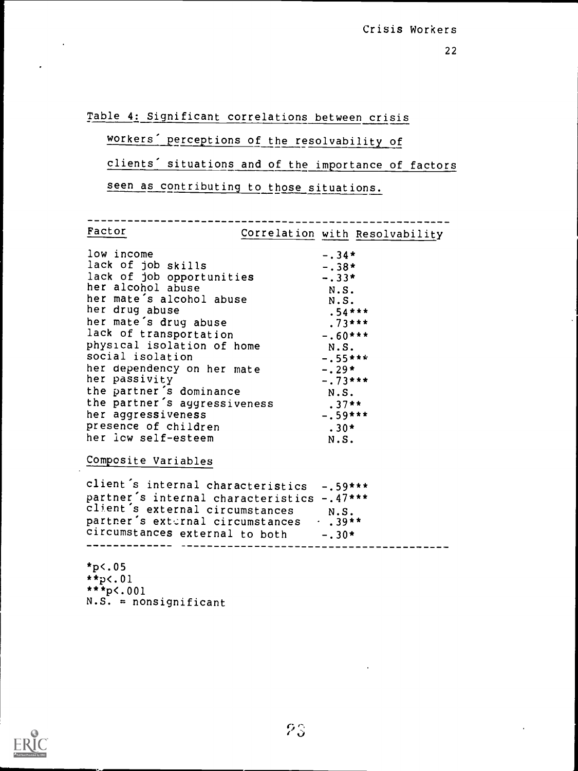Table 4: Significant correlations between crisis

## workers' perceptions of the resolvability of

clients' situations and of the importance of factors

seen as contributing to those situations.

Factor Correlation with Resolvability

| low income<br>lack of job skills<br>lack of job opportunities | $-.34*$<br>$-.38*$<br>$-.33*$ |
|---------------------------------------------------------------|-------------------------------|
| her alcohol abuse                                             | N.S.                          |
| her mate's alcohol abuse                                      | N.S.                          |
| her drug abuse                                                | $.54***$                      |
| her mate's drug abuse                                         | $.73***$                      |
| lack of transportation                                        | $-.60***$                     |
| physical isolation of home                                    | N.S.                          |
| social isolation                                              | $-.55***$                     |
| her dependency on her mate                                    | $-.29*$                       |
| her passivity                                                 | $-.73***$                     |
| the partner's dominance                                       | N.S.                          |
| the partner's aggressiveness                                  | $.37**$                       |
| her aggressiveness                                            | $-.59***$                     |
| presence of children                                          | $.30*$                        |
| her icw self-esteem                                           | N.S.                          |

Composite Variables

client's internal characteristics -.59\*\*\* partner's internal characteristics -.47\*\*\* client's external circumstances N.S.<br>partner's external circumstances . . 39\*\* partner's external circumstances circumstances external to both -.30\*

 $*p$  <.05 \*\*p<.01  $***p<.001$  $N.S. =$  nonsignificant

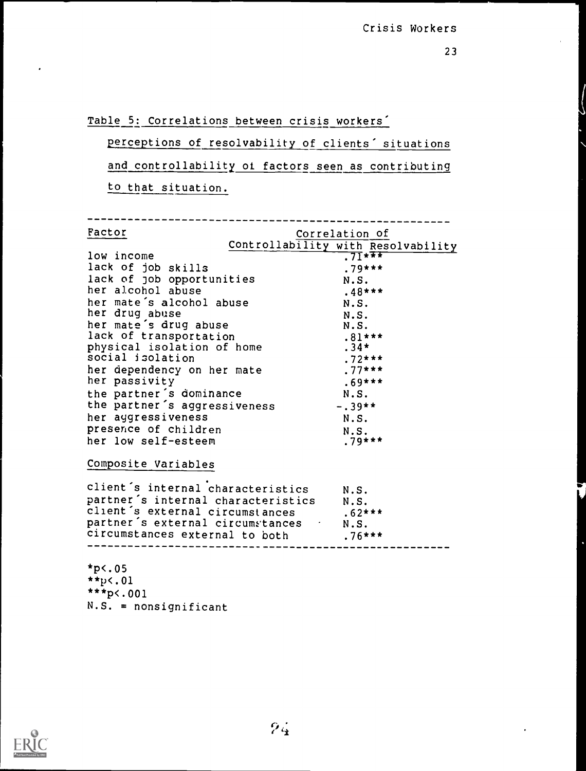Table 5: Correlations between crisis workers'

perceptions of resolvability of clients' situations and controllability of factors seen as contributing to that situation.

| Factor                                  | Correlation of                     |
|-----------------------------------------|------------------------------------|
|                                         | Controllability with Resolvability |
| low income                              | $71***$                            |
| lack of job skills                      | $.79***$                           |
| lack of job opportunities               | N.S.                               |
| her alcohol abuse                       | $.48***$                           |
| her mate's alcohol abuse                | N.S.                               |
| her drug abuse                          | N.S.                               |
| her mate's drug abuse                   | N.S.                               |
| lack of transportation                  | $.81***$                           |
| physical isolation of home              | $.34*$                             |
| social isolation                        | $.72***$                           |
| her dependency on her mate              | $.77***$                           |
| her passivity                           | $.69***$                           |
| the partner's dominance                 | N.S.                               |
| the partner's aggressiveness            | $-.39**$                           |
| her aggressiveness                      | N.S.                               |
| presence of children                    | N.S.                               |
| her low self-esteem                     | $.79***$                           |
|                                         |                                    |
| Composite Variables                     |                                    |
| client's internal characteristics       | N.S.                               |
| partner's internal characteristics N.S. |                                    |
| client's external circumstances         | $.62***$                           |
| partner's external circumstances . N.S. |                                    |
| circumstances external to both          | $.76***$                           |
|                                         |                                    |
|                                         |                                    |
| $*p$ <.05                               |                                    |
| $**p<.01$                               |                                    |

- 
- \*\*\*p<.001
- N.S. = nonsignificant

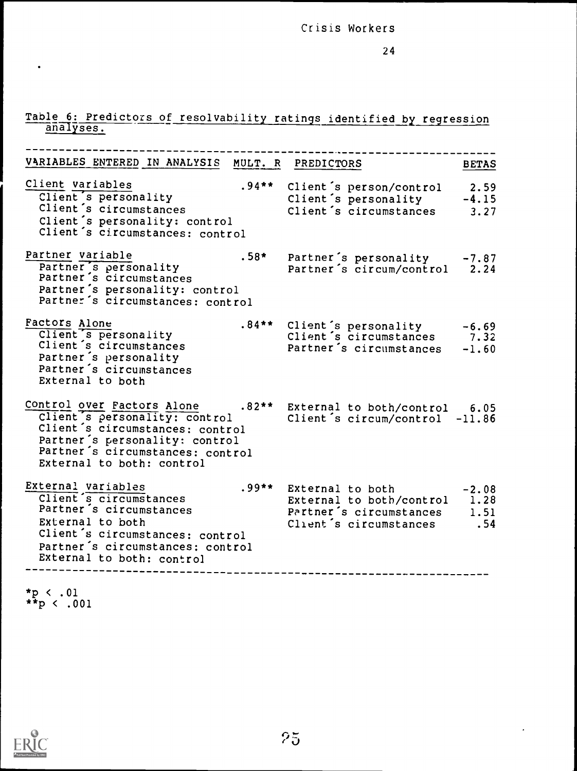# Table 6: Predictors of resolvability ratings identified by regression

| VARIABLES ENTERED IN ANALYSIS MULT. R PREDICTORS                                                                                                                                                                                                                     | <b>BETAS</b>                                                                                                               |
|----------------------------------------------------------------------------------------------------------------------------------------------------------------------------------------------------------------------------------------------------------------------|----------------------------------------------------------------------------------------------------------------------------|
| Client variables<br>Client's personality<br>Client's circumstances<br>Client's personality: control<br>Client's circumstances: control                                                                                                                               | .94** Client's person/control 2.59<br>Client's personality -4.15<br>Client's circumstances 3.27                            |
| Partner variable<br>utner variable<br>Partner's personality<br>Partner's circumstances<br>Partner's personality: control<br>Partner's circumstances: control                                                                                                         | .58* Partner's personality -7.87<br>Partner's circum/control 2.24                                                          |
| Factors Alone<br>Client s personality<br>Client's circumstances<br>Partner's personality<br>Partner's circumstances<br>External to both                                                                                                                              | .84** Client's personality -6.69<br>Client's circumstances 7.32<br>Partner's circumstances<br>$-1.60$                      |
| Control over Factors Alone .82** External to both/control 6.05<br>Client's personality: control client's circum/control -11.86<br>Client's circumstances: control<br>Partner's personality: control<br>Partner's circumstances: control<br>External to both: control |                                                                                                                            |
| External variables<br>Client's circumstances<br>Partner's circumstances<br>External to both<br>Client's circumstances: control<br>Partner's circumstances: control<br>External to both: control                                                                      | 99** External to both -2.08<br>External to both/control 1.28<br>Partner's circumstances 1.51<br>Client's circumstances .54 |

\*p < .01 \*\*p < .001

 $\bullet$ 



 $\mathbf{r}$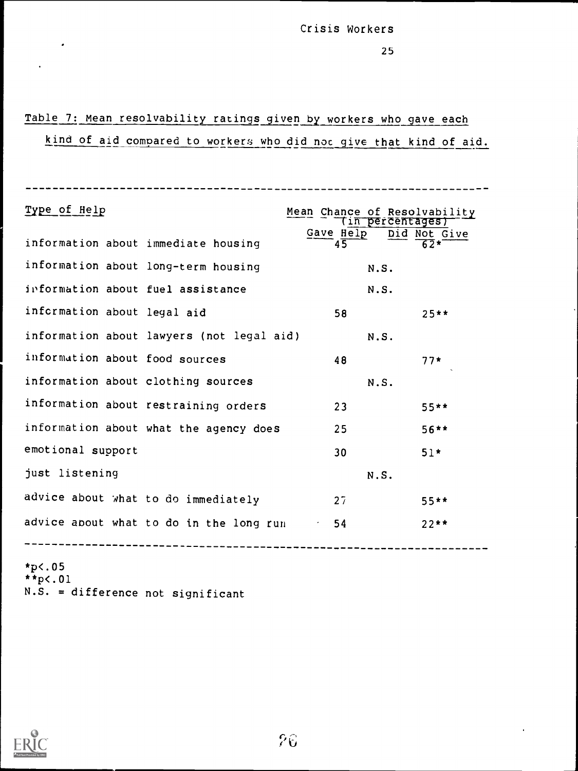25

# Table 7: Mean resolvability ratings given by workers who gave each

## kind of aid compared to workers who did noc give that kind of aid.

| Type of Help                         |                                           | Mean Chance of Resolvability<br>(in percentages) |              |
|--------------------------------------|-------------------------------------------|--------------------------------------------------|--------------|
| information about immediate housing  |                                           | Gave Help<br>$4\overline{5}$                     | Did Not Give |
| information about long-term housing  |                                           | N.S.                                             |              |
| information about fuel assistance    |                                           | N.S.                                             |              |
| information about legal aid          |                                           | 58                                               | $25**$       |
|                                      | information about lawyers (not legal aid) | N.S.                                             |              |
| information about food sources       |                                           | 48                                               | $77*$        |
| information about clothing sources   |                                           | N.S.                                             |              |
| information about restraining orders |                                           | 23                                               | $55***$      |
|                                      | information about what the agency does    | 25                                               | $56***$      |
| emotional support                    |                                           | 30                                               | $51*$        |
| just listening                       |                                           | N.S.                                             |              |
| advice about what to do immediately  |                                           | 27                                               | $55**$       |
|                                      | advice about what to do in the long run   | 54                                               | $22**$       |
|                                      |                                           |                                                  |              |

\*p<.05  $*_{p<.01}$ N.S. = difference not significant



 $\cdot$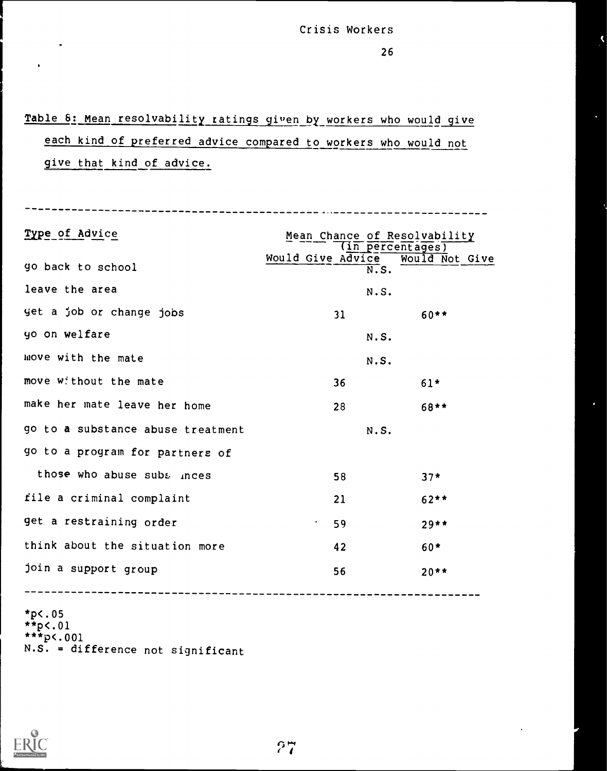# Table 6: Mean resolvability ratings given by workers who would give each kind of preferred advice compared to workers who would not give that kind of advice.

Type of Advice Mean Chance of Resolvability (in percentages) Would Give Advice Would Not Give go back to school leave the area  $N.S.$ yet a job or change jobs  $31$  60\*\* yo on welfare  $N.S.$ move with the mate N.S. move without the mate  $36$  36 61\* make her mate leave her home 28 28 68\*\* go to a substance abuse treatment N.S. go to a program for partners of those who abuse subs inces  $58$   $58$   $37*$ file a criminal complaint 121 62\*\* get a restraining order 1988 1997 1997 1998 think about the situation more  $42$  60\* join a support group 56 56 20\*\*  $*p$ c.05 \*\*p<.01 \*\*\*p<.001

 $N.S. =$  difference not significant